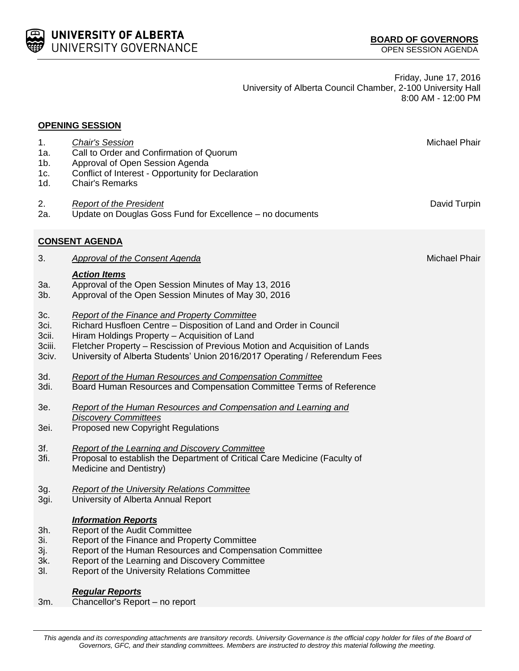

Friday, June 17, 2016 University of Alberta Council Chamber, 2-100 University Hall 8:00 AM - 12:00 PM

| <b>OPENING SESSION</b>                  |                                                                                                                                                                                                                                                                                                                                  |               |  |  |
|-----------------------------------------|----------------------------------------------------------------------------------------------------------------------------------------------------------------------------------------------------------------------------------------------------------------------------------------------------------------------------------|---------------|--|--|
| 1.<br>1a.<br>$1b$ .<br>1c.<br>1d.       | <b>Chair's Session</b><br>Call to Order and Confirmation of Quorum<br>Approval of Open Session Agenda<br>Conflict of Interest - Opportunity for Declaration<br><b>Chair's Remarks</b>                                                                                                                                            | Michael Phair |  |  |
| 2.<br>2a.                               | <b>Report of the President</b><br>Update on Douglas Goss Fund for Excellence - no documents                                                                                                                                                                                                                                      | David Turpin  |  |  |
|                                         | <b>CONSENT AGENDA</b>                                                                                                                                                                                                                                                                                                            |               |  |  |
| 3.                                      | <b>Approval of the Consent Agenda</b>                                                                                                                                                                                                                                                                                            | Michael Phair |  |  |
| 3a.<br>$3b$ .                           | <b>Action Items</b><br>Approval of the Open Session Minutes of May 13, 2016<br>Approval of the Open Session Minutes of May 30, 2016                                                                                                                                                                                              |               |  |  |
| 3c.<br>3ci.<br>3cii.<br>3ciii.<br>3civ. | Report of the Finance and Property Committee<br>Richard Husfloen Centre - Disposition of Land and Order in Council<br>Hiram Holdings Property - Acquisition of Land<br>Fletcher Property - Rescission of Previous Motion and Acquisition of Lands<br>University of Alberta Students' Union 2016/2017 Operating / Referendum Fees |               |  |  |
| 3d.<br>3di.                             | <b>Report of the Human Resources and Compensation Committee</b><br>Board Human Resources and Compensation Committee Terms of Reference                                                                                                                                                                                           |               |  |  |
| 3e.<br>3ei.                             | Report of the Human Resources and Compensation and Learning and<br><b>Discovery Committees</b><br>Proposed new Copyright Regulations                                                                                                                                                                                             |               |  |  |
| 3f.<br>3fi.                             | Report of the Learning and Discovery Committee<br>Proposal to establish the Department of Critical Care Medicine (Faculty of<br>Medicine and Dentistry)                                                                                                                                                                          |               |  |  |
| 3g.<br>3gi.                             | <b>Report of the University Relations Committee</b><br>University of Alberta Annual Report                                                                                                                                                                                                                                       |               |  |  |
| 3h.<br>3i.<br>3j.<br>3k.<br>3I.         | <b>Information Reports</b><br>Report of the Audit Committee<br>Report of the Finance and Property Committee<br>Report of the Human Resources and Compensation Committee<br>Report of the Learning and Discovery Committee<br><b>Report of the University Relations Committee</b>                                                 |               |  |  |
| 3m.                                     | <b>Regular Reports</b><br>Chancellor's Report - no report                                                                                                                                                                                                                                                                        |               |  |  |

*This agenda and its corresponding attachments are transitory records. University Governance is the official copy holder for files of the Board of Governors, GFC, and their standing committees. Members are instructed to destroy this material following the meeting.*